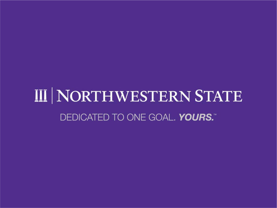# III NORTHWESTERN STATE DEDICATED TO ONE GOAL. YOURS."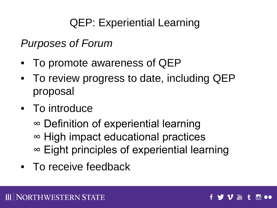### QEP: Experiential Learning

*Purposes of Forum*

- To promote awareness of QEP
- To review progress to date, including QEP proposal
- To introduce
	- ∞ Definition of experiential learning ∞ High impact educational practices ∞ Eight principles of experiential learning
- To receive feedback

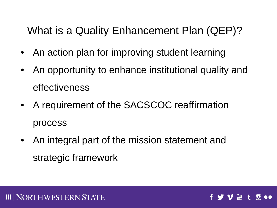### What is a Quality Enhancement Plan (QEP)?

- An action plan for improving student learning
- An opportunity to enhance institutional quality and effectiveness
- A requirement of the SACSCOC reaffirmation process
- An integral part of the mission statement and strategic framework

**You** 

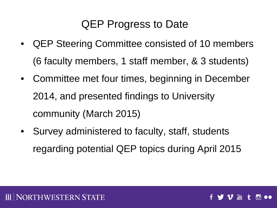### QEP Progress to Date

- QEP Steering Committee consisted of 10 members (6 faculty members, 1 staff member, & 3 students)
- Committee met four times, beginning in December 2014, and presented findings to University community (March 2015)
- Survey administered to faculty, staff, students regarding potential QEP topics during April 2015

**You**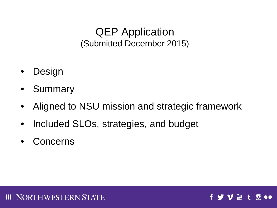#### QEP Application (Submitted December 2015)

- Design
- Summary
- Aligned to NSU mission and strategic framework
- Included SLOs, strategies, and budget
- Concerns



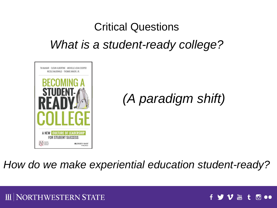## Critical Questions *What is a student-ready college?*



### *(A paradigm shift)*

**You** 

ГOi

#### *How do we make experiential education student-ready?*

#### I NORTHWESTERN STATE Ш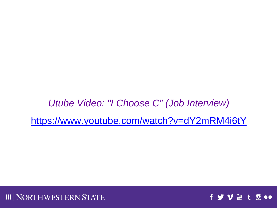*Utube Video: "I Choose C" (Job Interview)* <https://www.youtube.com/watch?v=dY2mRM4i6tY>



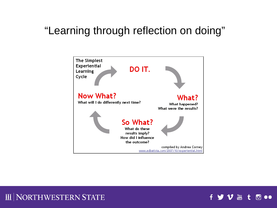#### "Learning through reflection on doing"





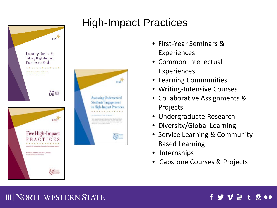



### High-Impact Practices

- First-Year Seminars & Experiences
- Common Intellectual Experiences
- Learning Communities
- Writing-Intensive Courses
- Collaborative Assignments & Projects
- Undergraduate Research
- Diversity/Global Learning
- Service Learning & Community-Based Learning
- **Internships**
- Capstone Courses & Projects

#### **III NORTHWESTERN STATE**

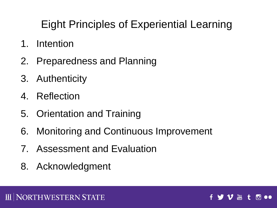### Eight Principles of Experiential Learning

- 1. Intention
- 2. Preparedness and Planning
- 3. Authenticity
- 4. Reflection
- 5. Orientation and Training
- 6. Monitoring and Continuous Improvement
- 7. Assessment and Evaluation
- 8. Acknowledgment

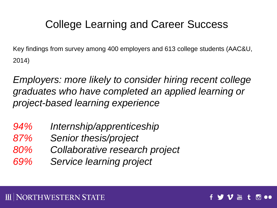### College Learning and Career Success

Key findings from survey among 400 employers and 613 college students (AAC&U, 2014)

*Employers: more likely to consider hiring recent college graduates who have completed an applied learning or project-based learning experience*

- *94% Internship/apprenticeship*
- *87% Senior thesis/project*
- *80% Collaborative research project*
- *69% Service learning project*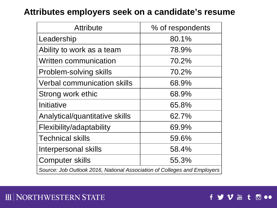#### **Attributes employers seek on a candidate's resume**

| <b>Attribute</b>                                                         | % of respondents |
|--------------------------------------------------------------------------|------------------|
| Leadership                                                               | 80.1%            |
| Ability to work as a team                                                | 78.9%            |
| <b>Written communication</b>                                             | 70.2%            |
| Problem-solving skills                                                   | 70.2%            |
| <b>Verbal communication skills</b>                                       | 68.9%            |
| Strong work ethic                                                        | 68.9%            |
| Initiative                                                               | 65.8%            |
| Analytical/quantitative skills                                           | 62.7%            |
| Flexibility/adaptability                                                 | 69.9%            |
| <b>Technical skills</b>                                                  | 59.6%            |
| Interpersonal skills                                                     | 58.4%            |
| <b>Computer skills</b>                                                   | 55.3%            |
| Source: Job Outlook 2016, National Association of Colleges and Employers |                  |

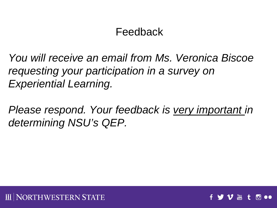### Feedback

*You will receive an email from Ms. Veronica Biscoe requesting your participation in a survey on Experiential Learning.* 

*Please respond. Your feedback is very important in determining NSU's QEP.*